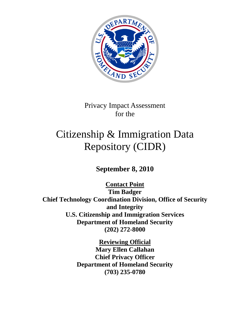

Privacy Impact Assessment for the

# Citizenship & Immigration Data Repository (CIDR)

**September 8, 2010**

**Contact Point Tim Badger Chief Technology Coordination Division, Office of Security and Integrity U.S. Citizenship and Immigration Services Department of Homeland Security (202) 272-8000**

> **Reviewing Official Mary Ellen Callahan Chief Privacy Officer Department of Homeland Security (703) 235-0780**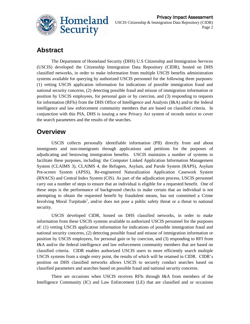

## **Abstract**

The Department of Homeland Security (DHS) U.S Citizenship and Immigration Services (USCIS) developed the Citizenship Immigration Data Repository (CIDR), hosted on DHS classified networks, in order to make information from multiple USCIS benefits administration systems available for querying by authorized USCIS personnel for the following three purposes: (1) vetting USCIS application information for indications of possible immigration fraud and national security concerns, (2) detecting possible fraud and misuse of immigration information or position by USCIS employees, for personal gain or by coercion, and (3) responding to requests for information (RFIs) from the DHS Office of Intelligence and Analysis (I&A) and/or the federal intelligence and law enforcement community members that are based on classified criteria. In conjunction with this PIA, DHS is issuing a new Privacy Act system of records notice to cover the search parameters and the results of the searches.

## **Overview**

USCIS collects personally identifiable information (PII) directly from and about immigrants and non-immigrants through applications and petitions for the purposes of adjudicating and bestowing immigration benefits. USCIS maintains a number of systems to facilitate these purposes, including: the Computer Linked Application Information Management System (CLAIMS 3), CLAIMS 4, the Refugees, Asylum, and Parole System (RAPS), Asylum Pre-screen System (APSS), Re-engineered Naturalization Application Casework System (RNACS) and Central Index System (CIS). As part of the adjudication process, USCIS personnel carry out a number of steps to ensure that an individual is eligible for a requested benefit. One of these steps is the performance of background checks to make certain that an individual is not attempting to obtain the requested benefit by fraudulent means, has not committed a Crime Involving Moral Turpitude<sup>1</sup>, and/or does not pose a public safety threat or a threat to national security.

USCIS developed CIDR, hosted on DHS classified networks, in order to make information from these USCIS systems available to authorized USCIS personnel for the purposes of: (1) vetting USCIS application information for indications of possible immigration fraud and national security concerns, (2) detecting possible fraud and misuse of immigration information or position by USCIS employees, for personal gain or by coercion, and (3) responding to RFI from I&A and/or the federal intelligence and law enforcement community members that are based on classified criteria. CIDR enables authorized USCIS users to more efficiently search multiple USCIS systems from a single entry point, the results of which will be retained in CIDR. CIDR"s position on DHS classified networks allows USCIS to securely conduct searches based on classified parameters and searches based on possible fraud and national security concerns.

There are occasions when USCIS receives RFIs through I&A from members of the Intelligence Community (IC) and Law Enforcement (LE) that are classified and or occasions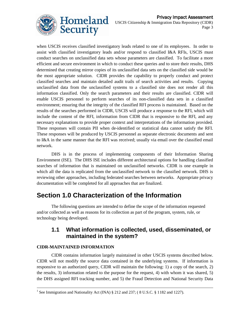

when USCIS receives classified investigatory leads related to one of its employees. In order to assist with classified investigatory leads and/or respond to classified I&A RFIs, USCIS must conduct searches on unclassified data sets whose parameters are classified. To facilitate a more efficient and secure environment in which to conduct these queries and to store their results, DHS determined that creating mirror copies of its unclassified data sets on the classified side would be the most appropriate solution. CIDR provides the capability to properly conduct and protect classified searches and maintain detailed audit trails of search activities and results. Copying unclassified data from the unclassified systems to a classified site does not render all this information classified. Only the search parameters and their results are classified. CIDR will enable USCIS personnel to perform searches of its non-classified data sets in a classified environment; ensuring that the integrity of the classified RFI process is maintained. Based on the results of the searches performed in CIDR, USCIS will produce a response to the RFI, which will include the content of the RFI, information from CIDR that is responsive to the RFI, and any necessary explanations to provide proper context and interpretations of the information provided. These responses will contain PII when de-identified or statistical data cannot satisfy the RFI. These responses will be produced by USCIS personnel as separate electronic documents and sent to I&A in the same manner that the RFI was received; usually via email over the classified email network.

DHS is in the process of implementing components of their Information Sharing Environment (ISE). The DHS ISE includes different architectural options for handling classified searches of information that is maintained on unclassified networks. CIDR is one example in which all the data is replicated from the unclassified network to the classified network. DHS is reviewing other approaches, including federated searches between networks. Appropriate privacy documentation will be completed for all approaches that are finalized.

## **Section 1.0 Characterization of the Information**

The following questions are intended to define the scope of the information requested and/or collected as well as reasons for its collection as part of the program, system, rule, or technology being developed.

#### **1.1 What information is collected, used, disseminated, or maintained in the system?**

#### **CIDR-MAINTAINED INFORMATION**

l

CIDR contains information largely maintained in other USCIS systems described below. CIDR will not modify the source data contained in the underlying systems. If information is responsive to an authorized query, CIDR will maintain the following: 1) a copy of the search, 2) the results, 3) information related to the purpose for the request, 4) with whom it was shared, 5) the DHS assigned RFI tracking number, and 5) the Fraud Detection and National Security Data

<sup>&</sup>lt;sup>1</sup> See Immigration and Nationality Act (INA)  $\S$  212 and 237; (8 U.S.C.  $\S$  1182 and 1227).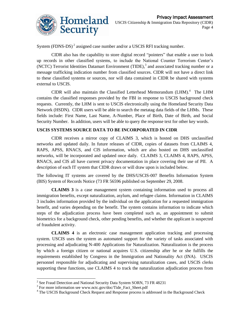

System (FDNS-DS) $^2$  assigned case number and/or a USCIS RFI tracking number.

CIDR also has the capability to store digital record "pointers" that enable a user to look up records in other classified systems, to include the National Counter Terrorism Center"s (NCTC) Terrorist Identities Datamart Environment  $(TIDE)$ ,<sup>3</sup> and associated tracking number or a message trafficking indication number from classified sources. CIDR will not have a direct link to these classified systems or sources, nor will data contained in CIDR be shared with systems external to USCIS.

CIDR will also maintain the Classified Letterhead Memorandum  $(LHM)$ .<sup>4</sup> The LHM contains the classified responses provided by the FBI in response to USCIS background check requests. Currently, the LHM is sent to USCIS electronically using the Homeland Security Data Network (HSDN). CIDR users will be able to search the metatag data fields of the LHMs. These fields include: First Name, Last Name, A-Number, Place of Birth, Date of Birth, and Social Security Number. In addition, users will be able to query the response text for other key words.

#### **USCIS SYSTEMS SOURCE DATA TO BE INCORPORATED IN CIDR**

CIDR receives a mirror copy of CLAIMS 3, which is hosted on DHS unclassified networks and updated daily. In future releases of CIDR, copies of datasets from CLAIMS 4, RAPS, APSS, RNACS, and CIS information, which are also hosted on DHS unclassified networks, will be incorporated and updated once daily. CLAIMS 3, CLAIMS 4, RAPS, APSS, RNACS, and CIS all have current privacy documentation in place covering their use of PII. A description of each IT system that CIDR draws or will draw upon is included below.

The following IT systems are covered by the DHS/USCIS-007 Benefits Information System (BIS) System of Records Notice (73 FR 56596 published on September 29, 2008.

**CLAIMS 3** is a case management system containing information used to process all immigration benefits, except naturalization, asylum, and refugee claims. Information in CLAIMS 3 includes information provided by the individual on the application for a requested immigration benefit, and varies depending on the benefit. The system contains information to indicate which steps of the adjudication process have been completed such as, an appointment to submit biometrics for a background check, other pending benefits, and whether the applicant is suspected of fraudulent activity.

**CLAIMS 4** is an electronic case management application tracking and processing system. USCIS uses the system as automated support for the variety of tasks associated with processing and adjudicating N-400 Applications for Naturalization. Naturalization is the process by which a foreign citizen or national acquires U.S. citizenship after he or she fulfills the requirements established by Congress in the Immigration and Nationality Act (INA). USCIS personnel responsible for adjudicating and supervising naturalization cases, and USCIS clerks supporting these functions, use CLAIMS 4 to track the naturalization adjudication process from

<sup>&</sup>lt;sup>2</sup> See Fraud Detection and National Security Data System SORN, 73 FR 48231

<sup>&</sup>lt;sup>3</sup> For more information see www.nctc.gov/doc/Tide\_Fact\_Sheet.pdf

<sup>&</sup>lt;sup>4</sup> The USCIS Background Check Request and Response process is addressed in the Background Check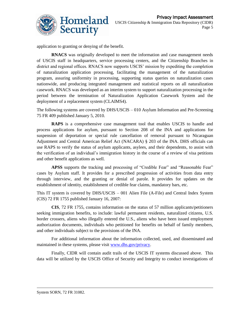

application to granting or denying of the benefit.

**RNACS** was originally developed to meet the information and case management needs of USCIS staff in headquarters, service processing centers, and the Citizenship Branches in district and regional offices. RNACS now supports USCIS" mission by expediting the completion of naturalization application processing, facilitating the management of the naturalization program, assuring uniformity in processing, supporting status queries on naturalization cases nationwide, and producing integrated management and statistical reports on all naturalization casework. RNACS was developed as an interim system to support naturalization processing in the period between the termination of Naturalization Application Casework System and the deployment of a replacement system (CLAIMS4).

The following systems are covered by DHS/USCIS – 010 Asylum Information and Pre-Screening 75 FR 409 published January 5, 2010.

**RAPS** is a comprehensive case management tool that enables USCIS to handle and process applications for asylum, pursuant to Section 208 of the INA and applications for suspension of deportation or special rule cancellation of removal pursuant to Nicaraguan Adjustment and Central American Relief Act (NACARA) § 203 of the INA. DHS officials can use RAPS to verify the status of asylum applicants, asylees, and their dependents, to assist with the verification of an individual"s immigration history in the course of a review of visa petitions and other benefit applications as well.

**APSS** supports the tracking and processing of "Credible Fear" and "Reasonable Fear" cases by Asylum staff. It provides for a prescribed progression of activities from data entry through interview, and the granting or denial of parole. It provides for updates on the establishment of identity, establishment of credible fear claims, mandatory bars, etc.

This IT system is covered by DHS/USCIS – 001 Alien File (A-File) and Central Index System (CIS) 72 FR 1755 published January 16, 2007:

**CIS**, 72 FR 1755, contains information on the status of 57 million applicants/petitioners seeking immigration benefits, to include: lawful permanent residents, naturalized citizens, U.S. border crossers, aliens who illegally entered the U.S., aliens who have been issued employment authorization documents, individuals who petitioned for benefits on behalf of family members, and other individuals subject to the provisions of the INA.

For additional information about the information collected, used, and disseminated and maintained in these systems, please visit [www.dhs.gov/privacy.](http://www.dhs.gov/privacy)

Finally, CIDR will contain audit trails of the USCIS IT systems discussed above. This data will be utilized by the USCIS Office of Security and Integrity to conduct investigations of

l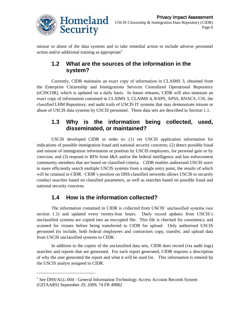

misuse or abuse of the data systems and to take remedial action to include adverse personnel action and/or additional training as appropriate<sup>5</sup>

## **1.2 What are the sources of the information in the system?**

Currently, CIDR maintains an exact copy of information in CLAIMS 3, obtained from the Enterprise Citizenship and Immigrations Services Centralized Operational Repository (eCISCOR), which is updated on a daily basis. In future releases, CIDR will also maintain an exact copy of information contained in CLAIMS 3, CLAIMS 4, RAPS, APSS, RNACS, CIS, the classified LHM Repository, and audit trails of USCIS IT systems that may demonstrate misuse or abuse of USCIS data systems by USCIS personnel. These data sets are described in Section 1.1.

#### **1.3 Why is the information being collected, used, disseminated, or maintained?**

USCIS developed CIDR in order to: (1) vet USCIS application information for indications of possible immigration fraud and national security concerns; (2) detect possible fraud and misuse of immigration information or position by USCIS employees, for personal gain or by coercion; and (3) respond to RFIs from I&A and/or the federal intelligence and law enforcement community members that are based on classified criteria. CIDR enables authorized USCIS users to more efficiently search multiple USCIS systems from a single entry point, the results of which will be retained in CIDR. CIDR's position on DHS classified networks allows USCIS to securely conduct searches based on classified parameters, as well as searches based on possible fraud and national security concerns.

## **1.4 How is the information collected?**

The information contained in CIDR is collected from USCIS" unclassified systems (see section 1.1) and updated every twenty-four hours. Daily record updates from USCIS's unclassified systems are copied into an encrypted file. This file is checked for consistency and scanned for viruses before being transferred to CIDR for upload. Only authorized USCIS personnel (to include, both federal employees and contractors copy, transfer, and upload data from USCIS unclassified systems to CIDR.

In addition to the copies of the unclassified data sets, CIDR does record (via audit logs) searches and reports that are generated. For each report generated, CIDR requires a description of why the user generated the report and what it will be used for. This information is entered by the USCIS analyst assigned to CIDR.

 $\overline{\phantom{a}}$ 

<sup>&</sup>lt;sup>5</sup> See DHS/ALL-004 - General Information Technology Access Account Records System (GITAARS) September 29, 2009, 74 FR 49882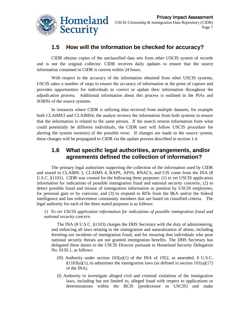

#### **1.5 How will the information be checked for accuracy?**

 CIDR obtains copies of the unclassified data sets from other USCIS system of records and is not the original collector. CIDR receives daily updates to ensure that the source information contained in CIDR is current within 24 hours.

With respect to the accuracy of the information obtained from other USCIS systems, USCIS takes a number of steps to ensure the accuracy of information at the point of capture and provides opportunities for individuals to correct or update their information throughout the adjudication process. Additional information about this process is outlined in the PIAs and SORNs of the source systems.

In instances where CIDR is utilizing data received from multiple datasets, for example both CLAIMS3 and CLAIMS4, the analyst reviews the information from both systems to ensure that the information is related to the same person. If the search returns information from what could potentially be different individuals, the CIDR user will follow USCIS procedure for alerting the system owner(s) of the possible error. If changes are made to the source system, these changes will be propagated to CIDR via the update process described in section 1.4.

#### **1.6 What specific legal authorities, arrangements, and/or agreements defined the collection of information?**

The primary legal authorities supporting the collection of the information used by CIDR and stored in CLAIMS 3, CLAIMS 4, RAPS, APSS, RNACS, and CIS come from the INA (8 U.S.C. §1101). CIDR was created for the following three purposes: (1) to vet USCIS application information for indications of possible immigration fraud and national security concerns; (2) to detect possible fraud and misuse of immigration information or position by USCIS employees, for personal gain or by coercion; and (3) to respond to RFIs from the I&A and/or the federal intelligence and law enforcement community members that are based on classified criteria. The legal authority for each of the three stated purposes is as follows:

*1) To vet USCIS application information for indications of possible immigration fraud and national security concern.*

The INA (8 U.S.C. §1103) charges the DHS Secretary with the duty of administering, and enforcing all laws relating to the immigration and naturalization of aliens, including ferreting out incidents of immigration fraud, and for ensuring that individuals who pose national security threats are not granted immigration benefits. The DHS Secretary has delegated these duties to the USCIS Director pursuant to Homeland Security Delegation No. 0150.1, as follows:

- (H) Authority under section  $103(a)(1)$  of the INA of 1952, as amended, 8 U.S.C.  $§1103(a)(1)$ , to administer the immigration laws (as defined in section  $101(a)(17)$ ) of the INA).
- (I) Authority to investigate alleged civil and criminal violations of the immigration laws, including but not limited to, alleged fraud with respect to applications or determinations within the BCIS [predecessor to USCIS] and make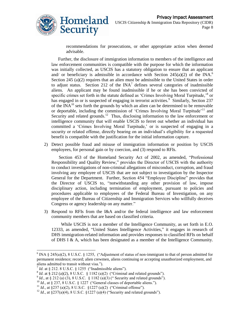

recommendations for prosecutions, or other appropriate action when deemed advisable.

Further, the disclosure of immigration information to members of the intelligence and law enforcement communities is compatible with the purpose for which the information was initially collected, as USCIS has a statutory obligation to ensure that an applicant and/ or beneficiary is admissible in accordance with Section  $245(a)(2)$  of the INA.<sup>6</sup> Section 245 (a)(2) requires that an alien must be admissible to the United States in order to adjust status. Section 212 of the  $INA^7$  defines several categories of inadmissible aliens. An applicant may be found inadmissible if he or she has been convicted of specific crimes set forth in the statute defined as 'Crimes Involving Moral Turpitude,<sup>8</sup> or has engaged in or is suspected of engaging in terrorist activities.<sup>9</sup> Similarly, Section 237 of the  $\text{INA}^{10}$  sets forth the grounds by which an alien can be determined to be removable or deportable, including the commission of 'Crimes Involving Moral Turpitude'<sup>11</sup> and Security and related grounds.<sup>12</sup> Thus, disclosing information to the law enforcement or intelligence community that will enable USCIS to ferret out whether an individual has committed a "Crimes Involving Moral Turpitude," or is suspected of engaging in a security or related offense, directly bearing on an individual's eligibility for a requested benefit is compatible with the justification for the initial information capture.

2) Detect possible fraud and misuse of immigration information or position by USCIS employees, for personal gain or by coercion, and (3) respond to RFIs.

Section 453 of the Homeland Security Act of 2002, as amended, "Professional Responsibility and Quality Review," provides the Director of USCIS with the authority to conduct investigations of non-criminal allegations of misconduct, corruption, and fraud involving any employee of USCIS that are not subject to investigation by the Inspector General for the Department. Further, Section 454 "Employee Discipline" provides that the Director of USCIS to, "notwithstanding any other provision of law, impose disciplinary action, including termination of employment, pursuant to policies and procedures applicable to employees of the Federal Bureau of Investigation, on any employee of the Bureau of Citizenship and Immigration Services who willfully deceives Congress or agency leadership on any matter."

3) Respond to RFIs from the I&A and/or the federal intelligence and law enforcement community members that are based on classified criteria.

 While USCIS is not a member of the Intelligence Community, as set forth in E.O. 12333, as amended, "United States Intelligence Activities," it engages in research of DHS immigration-related information and provides responses to classified RFIs on behalf of DHS I & A, which has been designated as a member of the Intelligence Community.

l <sup>6</sup> INA § 245(a)(2), 8 U.S.C. § 1255, ("Adjustment of status of non-immigrant to that of person admitted for permanent residence; record; alien crewmen, aliens continuing or accepting unauthorized employment, and aliens admitted to transit without visa.").

 $7$  *Id.* at § 212. 8 U.S.C. § 1255 ("Inadmissible aliens").

 $^{8}$  *Id.* at § 212 (a)(2), 8 U.S.C. § 1182 (a)(2) ("Criminal and related grounds").

 $^{9}$  *Id.*, at § 212 (a) (3), 8 U.S.C. § 1182 (a)(3) ("Security and related grounds").

 $10$  *Id.*, at § 237, 8 U.S.C. § 1227 ("General classes of deportable aliens.").

<sup>&</sup>lt;sup>11</sup> *Id.*, at §237 (a)(2), 8 U.S.C. §1227 (a)(2) ("Criminal offense").

<sup>&</sup>lt;sup>12</sup> *Id.*, at §237(a)(4), 8 U.S.C. §1227 (a)(4) ("Security and related grounds").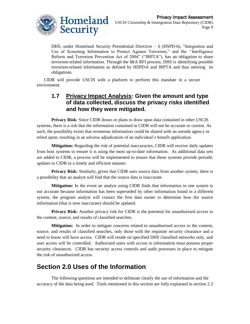

DHS, under Homeland Security Presidential Directive – 6 (HSPD-6), "Integration and Use of Screening Information to Protect Against Terrorism," and the ""Intelligence Reform and Terrorism Prevention Act of 2004" ("IRPTA"), has an obligation to share terrorism-related information. Through the I&A RFI process, DHS is identifying possible terrorism-related information as defined by HSPD-6 and IRPTA and thus meeting its obligations.

CIDR will provide USCIS with a platform to perform this mandate in a secure environment.

#### **1.7 Privacy Impact Analysis: Given the amount and type of data collected, discuss the privacy risks identified and how they were mitigated.**

**Privacy Risk:** Since CIDR draws or plans to draw upon data contained in other USCIS systems, there is a risk that the information contained in CIDR will not be accurate or current. As such, the possibility exists that erroneous information could be shared with an outside agency or relied upon; resulting in an adverse adjudication of an individual's benefit application.

**Mitigation:** Regarding the risk of potential inaccuracies, CIDR will receive daily updates from host systems to ensure it is using the most up-to-date information. As additional data sets are added to CIDR, a process will be implemented to ensure that these systems provide periodic updates to CIDR in a timely and efficient manner.

**Privacy Risk:** Similarly, given that CIDR uses source data from another system, there is a possibility that an analyst will find that the source data is inaccurate.

**Mitigation:** In the event an analyst using CIDR finds that information in one system is not accurate because information has been superseded by other information found in a different system, the program analyst will contact the first data owner to determine how the source information (that is now inaccurate) should be updated.

**Privacy Risk:** Another privacy risk for CIDR is the potential for unauthorized access to the content, source, and results of classified searches.

**Mitigation:** In order to mitigate concerns related to unauthorized access to the content, source, and results of classified searches, only those with the requisite security clearance and a need to know will have access. CIDR will reside on specified DHS classified networks only, and user access will be controlled. Authorized users with access to information must possess proper security clearances. CIDR has security access controls and audit processes in place to mitigate the risk of unauthorized access.

## **Section 2.0 Uses of the Information**

The following questions are intended to delineate clearly the use of information and the accuracy of the data being used. Tools mentioned in this section are fully explained in section 2.2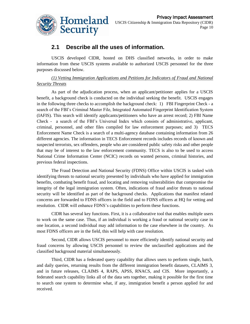

#### **2.1 Describe all the uses of information.**

USCIS developed CIDR, hosted on DHS classified networks, in order to make information from these USCIS systems available to authorized USCIS personnel for the three purposes discussed below.

#### *(1) Vetting Immigration Applications and Petitions for Indicators of Fraud and National Security Threats*

As part of the adjudication process, when an applicant/petitioner applies for a USCIS benefit, a background check is conducted on the individual seeking the benefit. USCIS engages in the following three checks to accomplish the background check: 1) FBI Fingerprint Check - a search of the FBI"s Criminal Master File, Integrated Automated Fingerprint Identification System (IAFIS). This search will identify applicants/petitioners who have an arrest record; 2) FBI Name Check - a search of the FBI"s Universal Index which consists of administrative, applicant, criminal, personnel, and other files compiled for law enforcement purposes; and 3) TECS Enforcement Name Check is a search of a multi-agency database containing information from 26 different agencies. The information in TECS Enforcement records includes records of known and suspected terrorists, sex offenders, people who are considered public safety risks and other people that may be of interest to the law enforcement community. TECS is also to be used to access National Crime Information Center (NCIC) records on wanted persons, criminal histories, and previous federal inspections.

The Fraud Detection and National Security (FDNS) Office within USCIS is tasked with identifying threats to national security presented by individuals who have applied for immigration benefits, combating benefit fraud, and locating and removing vulnerabilities that compromise the integrity of the legal immigration system. Often, indications of fraud and/or threats to national security will be identified as part of the background checks. Applications that manifest related concerns are forwarded to FDNS officers in the field and to FDNS officers at HQ for vetting and resolution. CIDR will enhance FDNS"s capabilities to perform these functions.

CIDR has several key functions. First, it is a collaborative tool that enables multiple users to work on the same case. Thus, if an individual is working a fraud or national security case in one location, a second individual may add information to the case elsewhere in the country. As most FDNS officers are in the field, this will help with case resolution.

Second, CIDR allows USCIS personnel to more efficiently identify national security and fraud concerns by allowing USCIS personnel to review the unclassified applications and the classified background material simultaneously.

Third, CIDR has a federated query capability that allows users to perform single, batch, and daily queries, returning results from the different immigration benefit datasets, CLAIMS 3, and in future releases, CLAIMS 4, RAPS, APSS, RNACS, and CIS. More importantly, a federated search capability links all of the data sets together, making it possible for the first time to search one system to determine what, if any, immigration benefit a person applied for and received.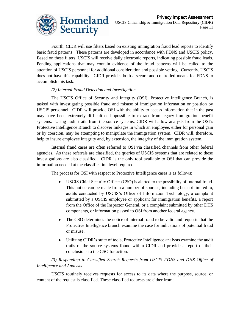

Fourth, CIDR will use filters based on existing immigration fraud lead reports to identify basic fraud patterns. These patterns are developed in accordance with FDNS and USCIS policy. Based on these filters, USCIS will receive daily electronic reports, indicating possible fraud leads. Pending applications that may contain evidence of the fraud patterns will be called to the attention of USCIS personnel for additional consideration and possible vetting. Currently, USCIS does not have this capability. CIDR provides both a secure and controlled means for FDNS to accomplish this task.

#### *(2) Internal Fraud Detection and Investigation*

The USCIS Office of Security and Integrity (OSI), Protective Intelligence Branch, is tasked with investigating possible fraud and misuse of immigration information or position by USCIS personnel. CIDR will provide OSI with the ability to access information that in the past may have been extremely difficult or impossible to extract from legacy immigration benefit systems. Using audit trails from the source systems, CIDR will allow analysts from the OSI"s Protective Intelligence Branch to discover linkages in which an employee, either for personal gain or by coercion, may be attempting to manipulate the immigration system. CIDR will, therefore, help to insure employee integrity and, by extension, the integrity of the immigration system.

Internal fraud cases are often referred to OSI via classified channels from other federal agencies. As these referrals are classified, the queries of USCIS systems that are related to these investigations are also classified. CIDR is the only tool available to OSI that can provide the information needed at the classification level required.

The process for OSI with respect to Protective Intelligence cases is as follows:

- $\bullet$ USCIS Chief Security Officer (CSO) is alerted to the possibility of internal fraud. This notice can be made from a number of sources, including but not limited to, audits conducted by USCIS"s Office of Information Technology, a complaint submitted by a USCIS employee or applicant for immigration benefits, a report from the Office of the Inspector General, or a complaint submitted by other DHS components, or information passed to OSI from another federal agency.
- The CSO determines the notice of internal fraud to be valid and requests that the  $\bullet$ Protective Intelligence branch examine the case for indications of potential fraud or misuse.
- $\bullet$ Utilizing CIDR"s suite of tools, Protective Intelligence analysts examine the audit trails of the source systems found within CIDR and provide a report of their conclusions to the CSO for action.

#### *(3) Responding to Classified Search Requests from USCIS FDNS and DHS Office of Intelligence and Analysis*

USCIS routinely receives requests for access to its data where the purpose, source, or content of the request is classified. These classified requests are either from: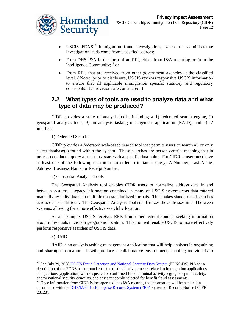

- USCIS  $FDNS^{13}$  immigration fraud investigations, where the administrative  $\bullet$ investigation leads come from classified sources;
- From DHS I&A in the form of an RFI, either from I&A reporting or from the Intelligence Community;<sup>14</sup> or
- From RFIs that are received from other government agencies at the classified  $\bullet$ level. ( Note: prior to disclosure, USCIS reviews responsive USCIS information to ensure that all applicable immigration specific statutory and regulatory confidentiality provisions are considered .)

#### **2.2 What types of tools are used to analyze data and what type of data may be produced?**

CIDR provides a suite of analysis tools, including a 1) federated search engine, 2) geospatial analysis tools, 3) an analysis tasking management application (RAID), and 4) I2 interface.

1) Federated Search:

CIDR provides a federated web-based search tool that permits users to search all or only select database(s) found within the system. These searches are person-centric, meaning that in order to conduct a query a user must start with a specific data point. For CIDR, a user must have at least one of the following data items in order to initiate a query: A-Number, Last Name, Address, Business Name, or Receipt Number.

2) Geospatial Analysis Tools

The Geospatial Analysis tool enables CIDR users to normalize address data in and between systems. Legacy information contained in many of USCIS systems was data entered manually by individuals, in multiple non-standardized formats. This makes standardized searches across datasets difficult. The Geospatial Analysis Tool standardizes the addresses in and between systems, allowing for a more effective search by location.

As an example, USCIS receives RFIs from other federal sources seeking information about individuals in certain geographic location. This tool will enable USCIS to more effectively perform responsive searches of USCIS data.

3) RAID

 $\overline{\phantom{a}}$ 

RAID is an analysis tasking management application that will help analysts in organizing and sharing information. It will produce a collaborative environment, enabling individuals to

<sup>&</sup>lt;sup>13</sup> See July 29, 200[8 USCIS Fraud Detection and National Security Data System](http://www.dhs.gov/xlibrary/assets/privacy/privacy_pia_cis_fdns.pdf) (FDNS-DS) PIA for a description of the FDNS background check and adjudicative process related to immigration applications and petitions (application) with suspected or confirmed fraud, criminal activity, egregious public safety, and/or national security concerns, and cases randomly selected for benefit fraud assessments.

 $14$  Once information from CIDR is incorporated into I&A records, the information will be handled in accordance with the DHS/IA-001 - [Enterprise Records System \(ERS\)](http://edocket.access.gpo.gov/2008/E8-10888.htm) System of Records Notice (73 FR 28128).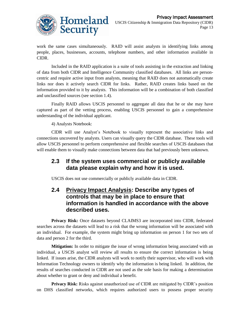

work the same cases simultaneously. RAID will assist analysts in identifying links among people, places, businesses, accounts, telephone numbers, and other information available in CIDR.

Included in the RAID application is a suite of tools assisting in the extraction and linking of data from both CIDR and Intelligence Community classified databases. All links are personcentric and require active input from analysts, meaning that RAID does not automatically create links nor does it actively search CIDR for links. Rather, RAID creates links based on the information provided to it by analysts. This information will be a combination of both classified and unclassified sources (see section 1.4).

Finally RAID allows USCIS personnel to aggregate all data that he or she may have captured as part of the vetting process, enabling USCIS personnel to gain a comprehensive understanding of the individual applicant.

4) Analysts Notebook:

CIDR will use Analyst"s Notebook to visually represent the associative links and connections uncovered by analysts. Users can visually query the CIDR database. These tools will allow USCIS personnel to perform comprehensive and flexible searches of USCIS databases that will enable them to visually make connections between data that had previously been unknown.

#### **2.3 If the system uses commercial or publicly available data please explain why and how it is used.**

USCIS does not use commercially or publicly available data in CIDR.

#### **2.4 Privacy Impact Analysis: Describe any types of controls that may be in place to ensure that information is handled in accordance with the above described uses.**

**Privacy Risk:** Once datasets beyond CLAIMS3 are incorporated into CIDR, federated searches across the datasets will lead to a risk that the wrong information will be associated with an individual. For example, the system might bring up information on person 1 for two sets of data and person 2 for the third.

**Mitigation:** In order to mitigate the issue of wrong information being associated with an individual, a USCIS analyst will review all results to ensure the correct information is being linked. If issues arise, the CIDR analysts will work to notify their supervisor, who will work with Information Technology owners to identify why the information is being linked. In addition, the results of searches conducted in CIDR are not used as the sole basis for making a determination about whether to grant or deny and individual a benefit.

**Privacy Risk:** Risks against unauthorized use of CIDR are mitigated by CIDR's position on DHS classified networks, which requires authorized users to possess proper security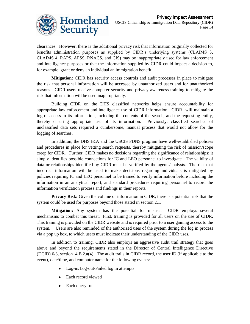

clearances. However, there is the additional privacy risk that information originally collected for benefits administration purposes as supplied by CIDR"s underlying systems (CLAIMS 3, CLAIMS 4, RAPS, APSS, RNACS, and CIS) may be inappropriately used for law enforcement and intelligence purposes or that the information supplied by CIDR could impact a decision to, for example, grant or deny an individual an immigration benefit.

**Mitigation:** CIDR has security access controls and audit processes in place to mitigate the risk that personal information will be accessed by unauthorized users and for unauthorized reasons. CIDR users receive computer security and privacy awareness training to mitigate the risk that information will be used inappropriately.

Building CIDR on the DHS classified networks helps ensure accountability for appropriate law enforcement and intelligence use of CIDR information. CIDR will maintain a log of access to its information, including the contents of the search, and the requesting entity, thereby ensuring appropriate use of its information. Previously, classified searches of unclassified data sets required a cumbersome, manual process that would not allow for the logging of searches.

In addition, the DHS I&A and the USCIS FDNS program have well-established policies and procedures in place for vetting search requests, thereby mitigating the risk of mission/scope creep for CIDR. Further, CIDR makes no decisions regarding the significance of relationships; it simply identifies possible connections for IC and LEO personnel to investigate. The validity of data or relationships identified by CIDR must be verified by the agents/analysts. The risk that incorrect information will be used to make decisions regarding individuals is mitigated by policies requiring IC and LEO personnel to be trained to verify information before including the information in an analytical report, and standard procedures requiring personnel to record the information verification process and findings in their reports.

**Privacy Risk:** Given the volume of information in CIDR, there is a potential risk that the system could be used for purposes beyond those stated in section 2.1.

**Mitigation:** Any system has the potential for misuse. CIDR employs several mechanisms to combat this threat. First, training is provided for all users on the use of CIDR. This training is provided on the CIDR website and is required prior to a user gaining access to the system. Users are also reminded of the authorized uses of the system during the log in process via a pop up box, to which users must indicate their understanding of the CIDR uses.

In addition to training, CIDR also employs an aggressive audit trail strategy that goes above and beyond the requirements stated in the Director of Central Intelligence Directive (DCID) 6/3, section 4.B.2.a(4). The audit trails in CIDR record, the user ID (if applicable to the event), date/time, and computer name for the following events:

- Log-in/Log-out/Failed log in attempts
- Each record viewed
- Each query run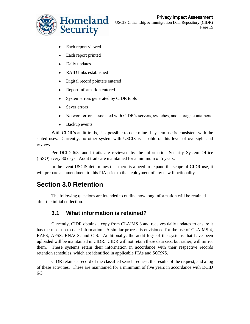

- Each report viewed  $\bullet$
- $\bullet$ Each report printed
- $\bullet$ Daily updates
- RAID links established
- Digital record pointers entered  $\bullet$
- Report information entered  $\bullet$
- $\bullet$ System errors generated by CIDR tools
- Sever errors
- Network errors associated with CIDR"s servers, switches, and storage containers  $\bullet$
- $\bullet$ Backup events

With CIDR's audit trails, it is possible to determine if system use is consistent with the stated uses. Currently, no other system with USCIS is capable of this level of oversight and review.

Per DCID 6/3, audit trails are reviewed by the Information Security System Office (ISSO) every 30 days. Audit trails are maintained for a minimum of 5 years.

In the event USCIS determines that there is a need to expand the scope of CIDR use, it will prepare an amendment to this PIA prior to the deployment of any new functionality.

## **Section 3.0 Retention**

The following questions are intended to outline how long information will be retained after the initial collection.

#### **3.1 What information is retained?**

Currently, CIDR obtains a copy from CLAIMS 3 and receives daily updates to ensure it has the most up-to-date information. A similar process is envisioned for the use of CLAIMS 4, RAPS, APSS, RNACS, and CIS. Additionally, the audit logs of the systems that have been uploaded will be maintained in CIDR. CIDR will not retain these data sets, but rather, will mirror them. These systems retain their information in accordance with their respective records retention schedules, which are identified in applicable PIAs and SORNS.

CIDR retains a record of the classified search request, the results of the request, and a log of these activities. These are maintained for a minimum of five years in accordance with DCID 6/3.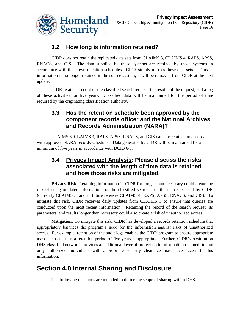

## **3.2 How long is information retained?**

CIDR does not retain the replicated data sets from CLAIMS 3, CLAIMS 4, RAPS, APSS, RNACS, and CIS. The data supplied by these systems are retained by those systems in accordance with their own retention schedules. CIDR simply mirrors these data sets. Thus, if information is no longer retained in the source system, it will be removed from CIDR at the next update.

CIDR retains a record of the classified search request, the results of the request, and a log of these activities for five years. Classified data will be maintained for the period of time required by the originating classification authority.

#### **3.3 Has the retention schedule been approved by the component records officer and the National Archives and Records Administration (NARA)?**

CLAIMS 3, CLAIMS 4, RAPS, APSS, RNACS, and CIS data are retained in accordance with approved NARA records schedules. Data generated by CIDR will be maintained for a minimum of five years in accordance with DCID 6/3.

#### **3.4 Privacy Impact Analysis: Please discuss the risks associated with the length of time data is retained and how those risks are mitigated.**

**Privacy Risk:** Retaining information in CIDR for longer than necessary could create the risk of using outdated information for the classified searches of the data sets used by CIDR (currently CLAIMS 3, and in future releases CLAIMS 4, RAPS, APSS, RNACS, and CIS). To mitigate this risk, CIDR receives daily updates from CLAIMS 3 to ensure that queries are conducted upon the most recent information. Retaining the record of the search request, its parameters, and results longer than necessary could also create a risk of unauthorized access.

**Mitigation:** To mitigate this risk, CIDR has developed a records retention schedule that appropriately balances the program"s need for the information against risks of unauthorized access. For example, retention of the audit logs enables the CIDR program to ensure appropriate use of its data, thus a retention period of five years is appropriate. Further, CIDR"s position on DHS classified networks provides an additional layer of protection to information retained, in that only authorized individuals with appropriate security clearance may have access to this information.

## **Section 4.0 Internal Sharing and Disclosure**

The following questions are intended to define the scope of sharing within DHS.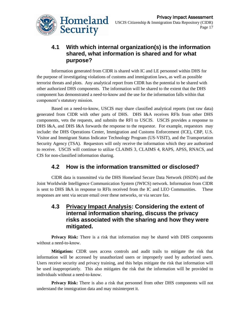

#### **4.1 With which internal organization(s) is the information shared, what information is shared and for what purpose?**

Information generated from CIDR is shared with IC and LE personnel within DHS for the purpose of investigating violations of customs and immigration laws, as well as possible terrorist threats and plots. Any analytical report from CIDR has the potential to be shared with other authorized DHS components. The information will be shared to the extent that the DHS component has demonstrated a need-to-know and the use for the information falls within that component's statutory mission.

Based on a need-to-know, USCIS may share classified analytical reports (not raw data) generated from CIDR with other parts of DHS. DHS I&A receives RFIs from other DHS components, vets the requests, and submits the RFI to USCIS. USCIS provides a response to DHS I&A, and DHS I&A forwards the response to the requestor. For example, requestors may include: the DHS Operations Center, Immigration and Customs Enforcement (ICE), CBP, U.S. Visitor and Immigrant Status Indicator Technology Program (US-VISIT), and the Transportation Security Agency (TSA). Requestors will only receive the information which they are authorized to receive. USCIS will continue to utilize CLAIMS 3, CLAIMS 4, RAPS, APSS, RNACS, and CIS for non-classified information sharing.

## **4.2 How is the information transmitted or disclosed?**

CIDR data is transmitted via the DHS Homeland Secure Data Network (HSDN) and the Joint Worldwide Intelligence Communication System (JWICS) network. Information from CIDR is sent to DHS I&A in response to RFIs received from the IC and LEO Communities. These responses are sent via secure email over these networks, or via secure fax.

#### **4.3 Privacy Impact Analysis: Considering the extent of internal information sharing, discuss the privacy risks associated with the sharing and how they were mitigated.**

**Privacy Risk:** There is a risk that information may be shared with DHS components without a need-to-know.

**Mitigation:** CIDR uses access controls and audit trails to mitigate the risk that information will be accessed by unauthorized users or improperly used by authorized users. Users receive security and privacy training, and this helps mitigate the risk that information will be used inappropriately. This also mitigates the risk that the information will be provided to individuals without a need-to-know.

**Privacy Risk:** There is also a risk that personnel from other DHS components will not understand the immigration data and may misinterpret it.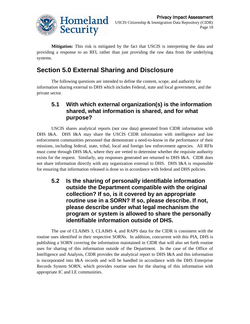

**Mitigation:** This risk is mitigated by the fact that USCIS is interpreting the data and providing a response to an RFI, rather than just providing the raw data from the underlying systems.

## **Section 5.0 External Sharing and Disclosure**

The following questions are intended to define the content, scope, and authority for information sharing external to DHS which includes Federal, state and local government, and the private sector.

#### **5.1 With which external organization(s) is the information shared, what information is shared, and for what purpose?**

USCIS shares analytical reports (not raw data) generated from CIDR information with DHS I&A. DHS I&A may share the USCIS CIDR information with intelligence and law enforcement communities personnel that demonstrate a need-to-know in the performance of their missions, including federal, state, tribal, local and foreign law enforcement agencies. All RFIs must come through DHS I&A, where they are vetted to determine whether the requisite authority exists for the request. Similarly, any responses generated are returned to DHS I&A. CIDR does not share information directly with any organization external to DHS. DHS I&A is responsible for ensuring that information released is done so in accordance with federal and DHS policies.

**5.2 Is the sharing of personally identifiable information outside the Department compatible with the original collection? If so, is it covered by an appropriate routine use in a SORN? If so, please describe. If not, please describe under what legal mechanism the program or system is allowed to share the personally identifiable information outside of DHS.**

The use of CLAIMS 3, CLAIMS 4, and RAPS data for the CIDR is consistent with the routine uses identified in their respective SORNs. In addition, concurrent with this PIA, DHS is publishing a SORN covering the information maintained in CIDR that will also set forth routine uses for sharing of this information outside of the Department. In the case of the Office of Intelligence and Analysis, CIDR provides the analytical report to DHS I&A and this information is incorporated into I&A records and will be handled in accordance with the DHS Enterprise Records System SORN, which provides routine uses for the sharing of this information with appropriate IC and LE communities.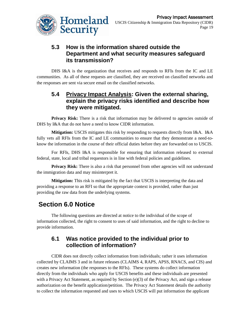

#### **5.3 How is the information shared outside the Department and what security measures safeguard its transmission?**

DHS I&A is the organization that receives and responds to RFIs from the IC and LE communities. As all of these requests are classified, they are received on classified networks and the responses are sent via secure email on the classified networks.

#### **5.4 Privacy Impact Analysis: Given the external sharing, explain the privacy risks identified and describe how they were mitigated.**

Privacy Risk: There is a risk that information may be delivered to agencies outside of DHS by I&A that do not have a need to know CIDR information.

**Mitigation:** USCIS mitigates this risk by responding to requests directly from I&A. I&A fully vets all RFIs from the IC and LE communities to ensure that they demonstrate a need-toknow the information in the course of their official duties before they are forwarded on to USCIS.

For RFIs, DHS I&A is responsible for ensuring that information released to external federal, state, local and tribal requestors is in line with federal policies and guidelines.

**Privacy Risk:** There is also a risk that personnel from other agencies will not understand the immigration data and may misinterpret it.

**Mitigation:** This risk is mitigated by the fact that USCIS is interpreting the data and providing a response to an RFI so that the appropriate context is provided, rather than just providing the raw data from the underlying systems.

# **Section 6.0 Notice**

The following questions are directed at notice to the individual of the scope of information collected, the right to consent to uses of said information, and the right to decline to provide information.

#### **6.1 Was notice provided to the individual prior to collection of information?**

CIDR does not directly collect information from individuals; rather it uses information collected by CLAIMS 3 and in future releases (CLAIMS 4, RAPS, APSS, RNACS, and CIS) and creates new information (the responses to the RFIs). These systems do collect information directly from the individuals who apply for USCIS benefits and these individuals are presented with a Privacy Act Statement, as required by Section (e)(3) of the Privacy Act, and sign a release authorization on the benefit application/petition. The Privacy Act Statement details the authority to collect the information requested and uses to which USCIS will put information the applicant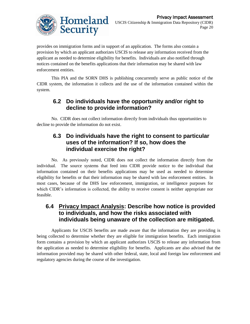

provides on immigration forms and in support of an application. The forms also contain a provision by which an applicant authorizes USCIS to release any information received from the applicant as needed to determine eligibility for benefits. Individuals are also notified through notices contained on the benefits applications that their information may be shared with law enforcement entities.

This PIA and the SORN DHS is publishing concurrently serve as public notice of the CIDR system, the information it collects and the use of the information contained within the system.

#### **6.2 Do individuals have the opportunity and/or right to decline to provide information?**

No. CIDR does not collect information directly from individuals thus opportunities to decline to provide the information do not exist.

#### **6.3 Do individuals have the right to consent to particular uses of the information? If so, how does the individual exercise the right?**

No. As previously noted, CIDR does not collect the information directly from the individual. The source systems that feed into CIDR provide notice to the individual that information contained on their benefits applications may be used as needed to determine eligibility for benefits or that their information may be shared with law enforcement entities. In most cases, because of the DHS law enforcement, immigration, or intelligence purposes for which CIDR's information is collected, the ability to receive consent is neither appropriate nor feasible.

#### **6.4 Privacy Impact Analysis: Describe how notice is provided to individuals, and how the risks associated with individuals being unaware of the collection are mitigated.**

Applicants for USCIS benefits are made aware that the information they are providing is being collected to determine whether they are eligible for immigration benefits. Each immigration form contains a provision by which an applicant authorizes USCIS to release any information from the application as needed to determine eligibility for benefits. Applicants are also advised that the information provided may be shared with other federal, state, local and foreign law enforcement and regulatory agencies during the course of the investigation.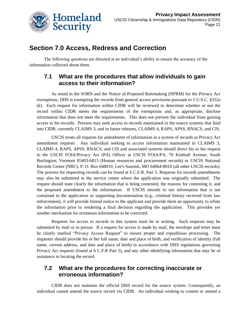

## **Section 7.0 Access, Redress and Correction**

The following questions are directed at an individual's ability to ensure the accuracy of the information collected about them.

#### **7.1 What are the procedures that allow individuals to gain access to their information?**

As noted in the SORN and the Notice of Proposed Rulemaking (NPRM) for the Privacy Act exemptions, DHS is exempting the records from general access provisions pursuant to 5 U.S.C. §552a (k). Each request for information within CIDR will be reviewed to determine whether or not the record within CIDR meets the requirements of the exemptions and, as appropriate, disclose information that does not meet the requirements. This does not prevent the individual from gaining access to his records. Persons may seek access to records maintained in the source systems that feed into CIDR, currently CLAIMS 3, and in future releases, CLAIMS 4, RAPS, APSS, RNACS, and CIS.

USCIS treats all requests for amendment of information in a system of records as Privacy Act amendment requests. Any individual seeking to access information maintained in CLAIMS 3, CLAIMS 4, RAPS, APSS, RNACS, and CIS and associated systems should direct his or her request to the USCIS FOIA/Privacy Act (PA) Officer at USCIS FOIA/PA, 70 Kimball Avenue, South Burlington, Vermont 05403-6813 (Human resources and procurement records) or USCIS National Records Center (NRC), P. O. Box 648010, Lee's Summit, MO 64064-8010 (all other USCIS records). The process for requesting records can be found at 6 C.F.R. Part 5. Requests for records amendments may also be submitted to the service center where the application was originally submitted. The request should state clearly the information that is being contested, the reasons for contesting it, and the proposed amendment to the information. If USCIS intends to use information that is not contained in the application or supporting documentation (e.g., criminal history received from law enforcement), it will provide formal notice to the applicant and provide them an opportunity to refute the information prior to rendering a final decision regarding the application. This provides yet another mechanism for erroneous information to be corrected.

Requests for access to records in this system must be in writing. Such requests may be submitted by mail or in person. If a request for access is made by mail, the envelope and letter must be clearly marked "Privacy Access Request" to ensure proper and expeditious processing. The requester should provide his or her full name, date and place of birth, and verification of identity (full name, current address, and date and place of birth) in accordance with DHS regulations governing Privacy Act requests (found at 6 C.F.R Part 5), and any other identifying information that may be of assistance in locating the record.

#### **7.2 What are the procedures for correcting inaccurate or erroneous information?**

CIDR does not maintain the official DHS record for the source system. Consequently, an individual cannot amend the source record via CIDR. An individual wishing to contest or amend a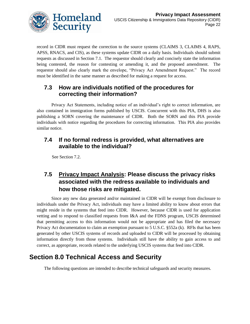

record in CIDR must request the correction to the source systems (CLAIMS 3, CLAIMS 4, RAPS, APSS, RNACS, and CIS), as these systems update CIDR on a daily basis. Individuals should submit requests as discussed in Section 7.1. The requestor should clearly and concisely state the information being contested, the reason for contesting or amending it, and the proposed amendment. The requestor should also clearly mark the envelope, "Privacy Act Amendment Request." The record must be identified in the same manner as described for making a request for access.

#### **7.3 How are individuals notified of the procedures for correcting their information?**

Privacy Act Statements, including notice of an individual"s right to correct information, are also contained in immigration forms published by USCIS. Concurrent with this PIA, DHS is also publishing a SORN covering the maintenance of CIDR. Both the SORN and this PIA provide individuals with notice regarding the procedures for correcting information. This PIA also provides similar notice.

#### **7.4 If no formal redress is provided, what alternatives are available to the individual?**

See Section 7.2.

## **7.5 Privacy Impact Analysis: Please discuss the privacy risks associated with the redress available to individuals and how those risks are mitigated.**

Since any new data generated and/or maintained in CIDR will be exempt from disclosure to individuals under the Privacy Act, individuals may have a limited ability to know about errors that might reside in the systems that feed into CIDR. However, because CIDR is used for application vetting and to respond to classified requests from I&A and the FDNS program, USCIS determined that permitting access to this information would not be appropriate and has filed the necessary Privacy Act documentation to claim an exemption pursuant to 5 U.S.C. §552a (k). RFIs that has been generated by other USCIS systems of records and uploaded to CIDR will be processed by obtaining information directly from those systems. Individuals still have the ability to gain access to and correct, as appropriate, records related to the underlying USCIS systems that feed into CIDR.

## **Section 8.0 Technical Access and Security**

The following questions are intended to describe technical safeguards and security measures.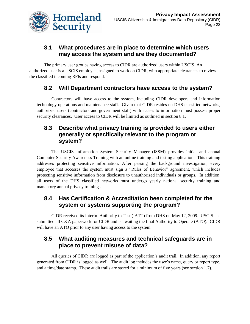

#### **8.1 What procedures are in place to determine which users may access the system and are they documented?**

The primary user groups having access to CIDR are authorized users within USCIS. An authorized user is a USCIS employee, assigned to work on CIDR, with appropriate clearances to review the classified incoming RFIs and respond.

#### **8.2 Will Department contractors have access to the system?**

Contractors will have access to the system, including CIDR developers and information technology operations and maintenance staff. Given that CIDR resides on DHS classified networks, authorized users (contractors and government staff) with access to information must possess proper security clearances. User access to CIDR will be limited as outlined in section 8.1.

#### **8.3 Describe what privacy training is provided to users either generally or specifically relevant to the program or system?**

The USCIS Information System Security Manager (ISSM) provides initial and annual Computer Security Awareness Training with an online training and testing application. This training addresses protecting sensitive information. After passing the background investigation, every employee that accesses the system must sign a "Rules of Behavior" agreement, which includes protecting sensitive information from disclosure to unauthorized individuals or groups. In addition, all users of the DHS classified networks must undergo yearly national security training and mandatory annual privacy training .

#### **8.4 Has Certification & Accreditation been completed for the system or systems supporting the program?**

CIDR received its Interim Authority to Test (IATT) from DHS on May 12, 2009. USCIS has submitted all C&A paperwork for CIDR and is awaiting the final Authority to Operate (ATO). CIDR will have an ATO prior to any user having access to the system.

#### **8.5 What auditing measures and technical safeguards are in place to prevent misuse of data?**

All queries of CIDR are logged as part of the application's audit trail. In addition, any report generated from CIDR is logged as well. The audit log includes the user"s name, query or report type, and a time/date stamp. These audit trails are stored for a minimum of five years (see section 1.7).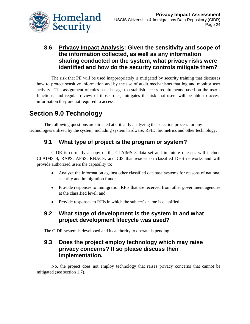

#### **8.6 Privacy Impact Analysis: Given the sensitivity and scope of the information collected, as well as any information sharing conducted on the system, what privacy risks were identified and how do the security controls mitigate them?**

The risk that PII will be used inappropriately is mitigated by security training that discusses how to protect sensitive information and by the use of audit mechanisms that log and monitor user activity. The assignment of roles-based usage to establish access requirements based on the user"s functions, and regular review of those roles, mitigates the risk that users will be able to access information they are not required to access.

# **Section 9.0 Technology**

The following questions are directed at critically analyzing the selection process for any technologies utilized by the system, including system hardware, RFID, biometrics and other technology.

## **9.1 What type of project is the program or system?**

CIDR is currently a copy of the CLAIMS 3 data set and in future releases will include CLAIMS 4, RAPS, APSS, RNACS, and CIS that resides on classified DHS networks and will provide authorized users the capability to:

- Analyze the information against other classified database systems for reasons of national security and immigration fraud;
- Provide responses to immigration RFIs that are received from other government agencies at the classified level; and
- $\bullet$ Provide responses to RFIs in which the subject's name is classified.

#### **9.2 What stage of development is the system in and what project development lifecycle was used?**

The CIDR system is developed and its authority to operate is pending.

#### **9.3 Does the project employ technology which may raise privacy concerns? If so please discuss their implementation.**

No, the project does not employ technology that raises privacy concerns that cannot be mitigated (see section 1.7).